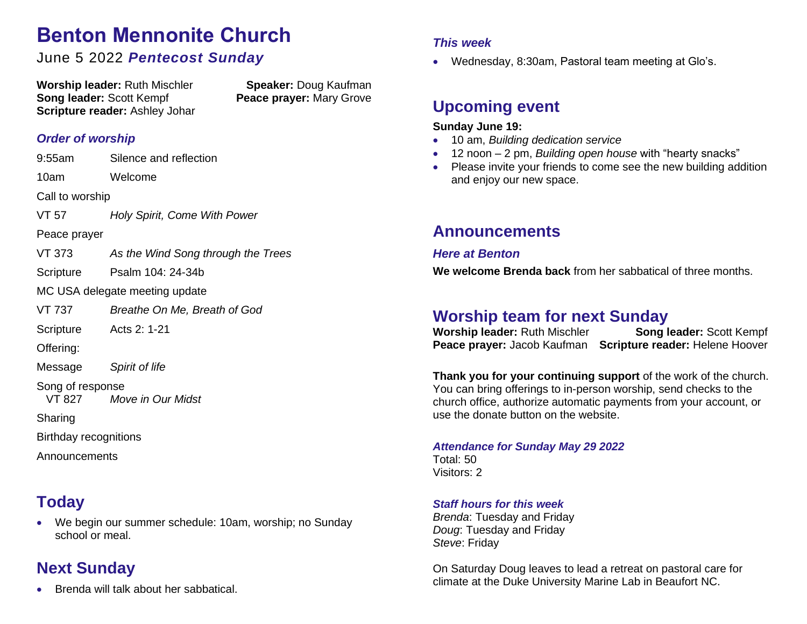# **Benton Mennonite Church**

### June 5 2022 *Pentecost Sunday*

**Worship leader:** Ruth Mischler **Speaker:** Doug Kaufman **Song leader:** Scott Kempf **Peace prayer:** Mary Grove **Scripture reader:** Ashley Johar

#### *Order of worship*

9:55am Silence and reflection 10am Welcome Call to worship VT 57 *Holy Spirit, Come With Power* Peace prayer VT 373 *As the Wind Song through the Trees* Scripture Psalm 104: 24-34b MC USA delegate meeting update VT 737 *Breathe On Me, Breath of God* Scripture Acts 2: 1-21 Offering: Message *Spirit of life* Song of response VT 827 *Move in Our Midst* **Sharing** Birthday recognitions Announcements

## **Today**

• We begin our summer schedule: 10am, worship; no Sunday school or meal.

### **Next Sunday**

• Brenda will talk about her sabbatical.

#### *This week*

• Wednesday, 8:30am, Pastoral team meeting at Glo's.

### **Upcoming event**

#### **Sunday June 19:**

- 10 am, *Building dedication service*
- 12 noon 2 pm, *Building open house* with "hearty snacks"
- Please invite your friends to come see the new building addition and enjoy our new space.

### **Announcements**

#### *Here at Benton*

**We welcome Brenda back** from her sabbatical of three months.

### **Worship team for next Sunday**

**Worship leader:** Ruth Mischler **Song leader:** Scott Kempf **Peace prayer:** Jacob Kaufman **Scripture reader:** Helene Hoover

**Thank you for your continuing support** of the work of the church. You can bring offerings to in-person worship, send checks to the church office, authorize automatic payments from your account, or use the donate button on the website.

*Attendance for Sunday May 29 2022* Total: 50 Visitors: 2

#### *Staff hours for this week*

*Brenda*: Tuesday and Friday *Doug*: Tuesday and Friday *Steve*: Friday

On Saturday Doug leaves to lead a retreat on pastoral care for climate at the Duke University Marine Lab in Beaufort NC.